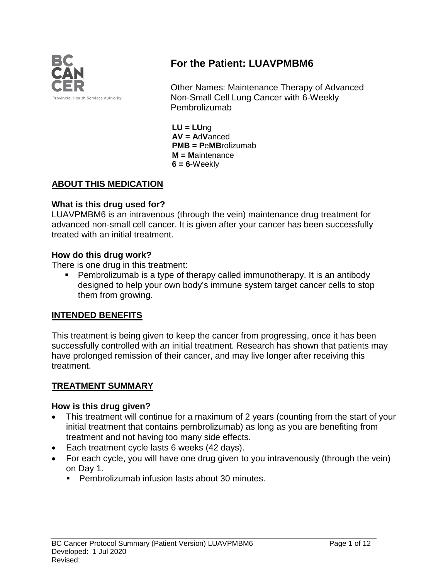

# **For the Patient: LUAVPMBM6**

Other Names: Maintenance Therapy of Advanced Non-Small Cell Lung Cancer with 6-Weekly Pembrolizumab

**LU = LU**ng **AV = A**d**V**anced **PMB = P**e**MB**rolizumab **M = M**aintenance **6 = 6**-Weekly

### **ABOUT THIS MEDICATION**

### **What is this drug used for?**

LUAVPMBM6 is an intravenous (through the vein) maintenance drug treatment for advanced non-small cell cancer. It is given after your cancer has been successfully treated with an initial treatment.

#### **How do this drug work?**

There is one drug in this treatment:

 Pembrolizumab is a type of therapy called immunotherapy. It is an antibody designed to help your own body's immune system target cancer cells to stop them from growing.

### **INTENDED BENEFITS**

This treatment is being given to keep the cancer from progressing, once it has been successfully controlled with an initial treatment. Research has shown that patients may have prolonged remission of their cancer, and may live longer after receiving this treatment.

### **TREATMENT SUMMARY**

#### **How is this drug given?**

- This treatment will continue for a maximum of 2 years (counting from the start of your initial treatment that contains pembrolizumab) as long as you are benefiting from treatment and not having too many side effects.
- Each treatment cycle lasts 6 weeks (42 days).
- For each cycle, you will have one drug given to you intravenously (through the vein) on Day 1.
	- **Pembrolizumab infusion lasts about 30 minutes.**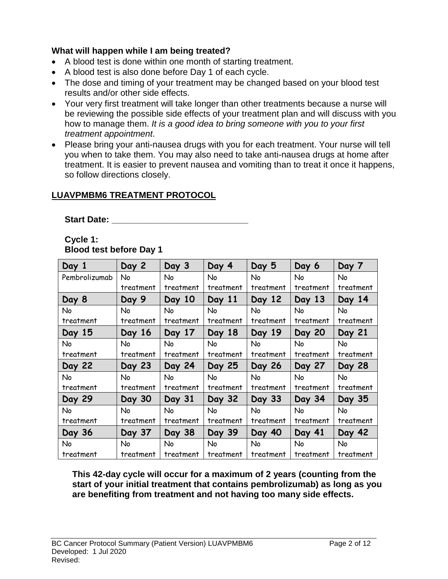### **What will happen while I am being treated?**

- A blood test is done within one month of starting treatment.
- A blood test is also done before Day 1 of each cycle.
- The dose and timing of your treatment may be changed based on your blood test results and/or other side effects.
- Your very first treatment will take longer than other treatments because a nurse will be reviewing the possible side effects of your treatment plan and will discuss with you how to manage them. *It is a good idea to bring someone with you to your first treatment appointment*.
- Please bring your anti-nausea drugs with you for each treatment. Your nurse will tell you when to take them. You may also need to take anti-nausea drugs at home after treatment. It is easier to prevent nausea and vomiting than to treat it once it happens, so follow directions closely.

### **LUAVPMBM6 TREATMENT PROTOCOL**

Start Date:

### **Cycle 1: Blood test before Day 1**

| Day 1         | Day 2     | Day 3     | Day 4     | Day 5     | Day 6         | Day 7     |
|---------------|-----------|-----------|-----------|-----------|---------------|-----------|
| Pembrolizumab | No        | No        | No        | No.       | No            | No        |
|               | treatment | treatment | treatment | treatment | treatment     | treatment |
| Day 8         | Day 9     | Day 10    | Day 11    | Day 12    | Day 13        | Day 14    |
| No            | No        | No        | No        | No        | No            | No        |
| treatment     | treatment | treatment | treatment | treatment | treatment     | treatment |
| Day 15        | Day 16    | Day 17    | Day 18    | Day 19    | <b>Day 20</b> | Day 21    |
| No            | No        | No.       | <b>No</b> | No.       | No            | No        |
| treatment     | treatment | treatment | treatment | treatment | treatment     | treatment |
| Day 22        | Day 23    | Day 24    | Day 25    | Day 26    | Day 27        | Day 28    |
| No            | No        | No        | <b>No</b> | No        | No            | No        |
| treatment     | treatment | treatment | treatment | treatment | treatment     | treatment |
| Day 29        | Day 30    | Day 31    | Day 32    | Day 33    | Day 34        | Day 35    |
| No            | No        | No        | No        | No        | No            | No        |
| treatment     | treatment | treatment | treatment | treatment | treatment     | treatment |
| Day 36        | Day 37    | Day 38    | Day 39    | Day 40    | Day 41        | Day 42    |
| No            | No        | No        | No        | No        | No            | No        |
|               |           |           |           |           |               |           |

**This 42-day cycle will occur for a maximum of 2 years (counting from the start of your initial treatment that contains pembrolizumab) as long as you are benefiting from treatment and not having too many side effects.**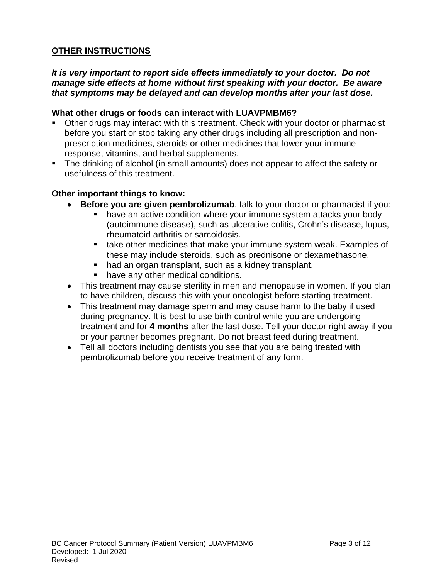### **OTHER INSTRUCTIONS**

### *It is very important to report side effects immediately to your doctor. Do not manage side effects at home without first speaking with your doctor. Be aware that symptoms may be delayed and can develop months after your last dose.*

### **What other drugs or foods can interact with LUAVPMBM6?**

- Other drugs may interact with this treatment. Check with your doctor or pharmacist before you start or stop taking any other drugs including all prescription and nonprescription medicines, steroids or other medicines that lower your immune response, vitamins, and herbal supplements.
- The drinking of alcohol (in small amounts) does not appear to affect the safety or usefulness of this treatment.

#### **Other important things to know:**

- **Before you are given pembrolizumab**, talk to your doctor or pharmacist if you:
	- have an active condition where your immune system attacks your body (autoimmune disease), such as ulcerative colitis, Crohn's disease, lupus, rheumatoid arthritis or sarcoidosis.
	- **take other medicines that make your immune system weak. Examples of** these may include steroids, such as prednisone or dexamethasone.
	- had an organ transplant, such as a kidney transplant.
	- **have any other medical conditions.**
- This treatment may cause sterility in men and menopause in women. If you plan to have children, discuss this with your oncologist before starting treatment.
- This treatment may damage sperm and may cause harm to the baby if used during pregnancy. It is best to use birth control while you are undergoing treatment and for **4 months** after the last dose. Tell your doctor right away if you or your partner becomes pregnant. Do not breast feed during treatment.
- Tell all doctors including dentists you see that you are being treated with pembrolizumab before you receive treatment of any form.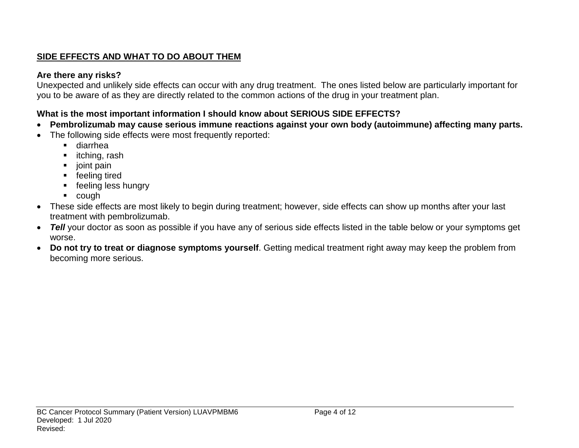# **SIDE EFFECTS AND WHAT TO DO ABOUT THEM**

### **Are there any risks?**

Unexpected and unlikely side effects can occur with any drug treatment. The ones listed below are particularly important for you to be aware of as they are directly related to the common actions of the drug in your treatment plan.

# **What is the most important information I should know about SERIOUS SIDE EFFECTS?**

- **Pembrolizumab may cause serious immune reactions against your own body (autoimmune) affecting many parts.**
- The following side effects were most frequently reported:
	- diarrhea
	- **·** itching, rash
	- joint pain
	- **F** feeling tired
	- **F** feeling less hungry
	- cough
- These side effects are most likely to begin during treatment; however, side effects can show up months after your last treatment with pembrolizumab.
- *Tell* your doctor as soon as possible if you have any of serious side effects listed in the table below or your symptoms get worse.
- **Do not try to treat or diagnose symptoms yourself**. Getting medical treatment right away may keep the problem from becoming more serious.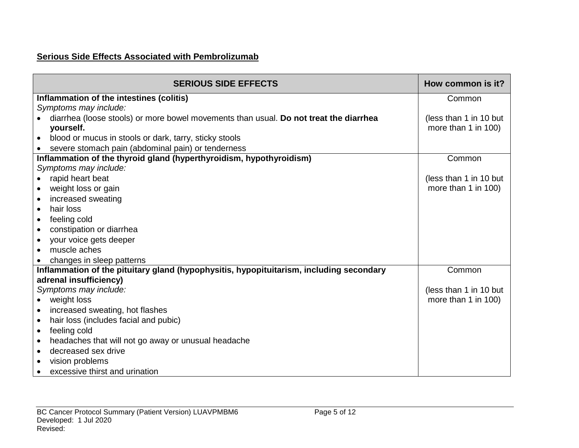# **Serious Side Effects Associated with Pembrolizumab**

| <b>SERIOUS SIDE EFFECTS</b>                                                             | How common is it?      |
|-----------------------------------------------------------------------------------------|------------------------|
| Inflammation of the intestines (colitis)                                                | Common                 |
| Symptoms may include:                                                                   |                        |
| diarrhea (loose stools) or more bowel movements than usual. Do not treat the diarrhea   | (less than 1 in 10 but |
| yourself.                                                                               | more than 1 in 100)    |
| blood or mucus in stools or dark, tarry, sticky stools<br>$\bullet$                     |                        |
| severe stomach pain (abdominal pain) or tenderness                                      |                        |
| Inflammation of the thyroid gland (hyperthyroidism, hypothyroidism)                     | Common                 |
| Symptoms may include:                                                                   |                        |
| rapid heart beat                                                                        | (less than 1 in 10 but |
| weight loss or gain<br>$\bullet$                                                        | more than 1 in 100)    |
| increased sweating<br>$\bullet$                                                         |                        |
| hair loss<br>$\bullet$                                                                  |                        |
| feeling cold<br>$\bullet$                                                               |                        |
| constipation or diarrhea<br>$\bullet$                                                   |                        |
| your voice gets deeper<br>$\bullet$                                                     |                        |
| muscle aches<br>$\bullet$                                                               |                        |
| changes in sleep patterns                                                               |                        |
| Inflammation of the pituitary gland (hypophysitis, hypopituitarism, including secondary | Common                 |
| adrenal insufficiency)                                                                  |                        |
| Symptoms may include:                                                                   | (less than 1 in 10 but |
| weight loss<br>$\bullet$                                                                | more than 1 in 100)    |
| increased sweating, hot flashes<br>$\bullet$                                            |                        |
| hair loss (includes facial and pubic)<br>$\bullet$                                      |                        |
| feeling cold<br>$\bullet$                                                               |                        |
| headaches that will not go away or unusual headache<br>$\bullet$                        |                        |
| decreased sex drive<br>$\bullet$                                                        |                        |
| vision problems<br>$\bullet$                                                            |                        |
| excessive thirst and urination                                                          |                        |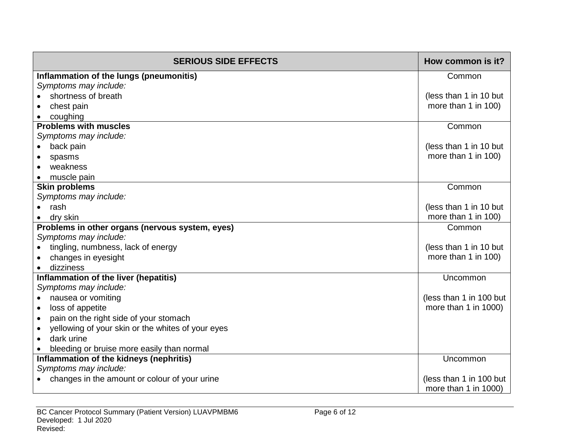| <b>SERIOUS SIDE EFFECTS</b>                                      | How common is it?                               |
|------------------------------------------------------------------|-------------------------------------------------|
| Inflammation of the lungs (pneumonitis)                          | Common                                          |
| Symptoms may include:                                            |                                                 |
| shortness of breath                                              | (less than 1 in 10 but                          |
| chest pain                                                       | more than 1 in 100)                             |
| coughing                                                         |                                                 |
| <b>Problems with muscles</b>                                     | Common                                          |
| Symptoms may include:                                            |                                                 |
| back pain                                                        | (less than 1 in 10 but                          |
| spasms                                                           | more than 1 in 100)                             |
| weakness                                                         |                                                 |
| muscle pain                                                      |                                                 |
| <b>Skin problems</b>                                             | Common                                          |
| Symptoms may include:                                            |                                                 |
| rash                                                             | (less than 1 in 10 but                          |
| dry skin                                                         | more than 1 in 100)                             |
| Problems in other organs (nervous system, eyes)                  | Common                                          |
| Symptoms may include:                                            |                                                 |
| tingling, numbness, lack of energy                               | (less than 1 in 10 but                          |
| changes in eyesight                                              | more than 1 in 100)                             |
| dizziness                                                        |                                                 |
| Inflammation of the liver (hepatitis)                            | Uncommon                                        |
| Symptoms may include:                                            |                                                 |
| nausea or vomiting<br>$\bullet$                                  | (less than 1 in 100 but<br>more than 1 in 1000) |
| loss of appetite                                                 |                                                 |
| pain on the right side of your stomach<br>$\bullet$              |                                                 |
| yellowing of your skin or the whites of your eyes<br>dark urine  |                                                 |
|                                                                  |                                                 |
| bleeding or bruise more easily than normal                       | Uncommon                                        |
| Inflammation of the kidneys (nephritis)<br>Symptoms may include: |                                                 |
| changes in the amount or colour of your urine                    | (less than 1 in 100 but                         |
|                                                                  | more than 1 in 1000)                            |
|                                                                  |                                                 |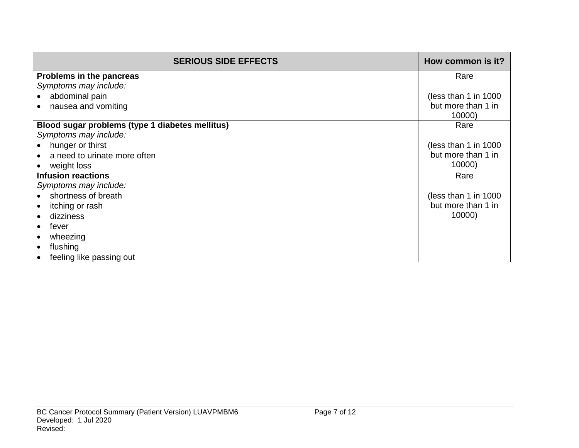| <b>SERIOUS SIDE EFFECTS</b>                     | How common is it?     |
|-------------------------------------------------|-----------------------|
| Problems in the pancreas                        | Rare                  |
| Symptoms may include:                           |                       |
| abdominal pain                                  | (less than 1 in 1000) |
| nausea and vomiting                             | but more than 1 in    |
|                                                 | 10000)                |
| Blood sugar problems (type 1 diabetes mellitus) | Rare                  |
| Symptoms may include:                           |                       |
| hunger or thirst                                | (less than 1 in 1000) |
| a need to urinate more often                    | but more than 1 in    |
| weight loss                                     | 10000)                |
| <b>Infusion reactions</b>                       | Rare                  |
| Symptoms may include:                           |                       |
| shortness of breath                             | (less than 1 in 1000) |
| itching or rash                                 | but more than 1 in    |
| dizziness                                       | 10000)                |
| fever                                           |                       |
| wheezing                                        |                       |
| flushing                                        |                       |
| feeling like passing out                        |                       |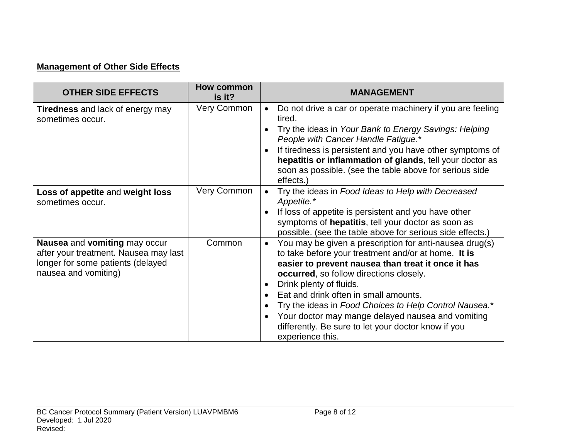# **Management of Other Side Effects**

| <b>OTHER SIDE EFFECTS</b>                                                                                                           | <b>How common</b><br>is it? | <b>MANAGEMENT</b>                                                                                                                                                                                                                                                                                                                                                                                                                                                                                  |
|-------------------------------------------------------------------------------------------------------------------------------------|-----------------------------|----------------------------------------------------------------------------------------------------------------------------------------------------------------------------------------------------------------------------------------------------------------------------------------------------------------------------------------------------------------------------------------------------------------------------------------------------------------------------------------------------|
| <b>Tiredness</b> and lack of energy may<br>sometimes occur.                                                                         | <b>Very Common</b>          | Do not drive a car or operate machinery if you are feeling<br>$\bullet$<br>tired.<br>Try the ideas in Your Bank to Energy Savings: Helping<br>People with Cancer Handle Fatigue.*<br>If tiredness is persistent and you have other symptoms of<br>hepatitis or inflammation of glands, tell your doctor as                                                                                                                                                                                         |
|                                                                                                                                     |                             | soon as possible. (see the table above for serious side<br>effects.)                                                                                                                                                                                                                                                                                                                                                                                                                               |
| Loss of appetite and weight loss<br>sometimes occur.                                                                                | Very Common                 | Try the ideas in Food Ideas to Help with Decreased<br>Appetite.*<br>If loss of appetite is persistent and you have other<br>symptoms of hepatitis, tell your doctor as soon as<br>possible. (see the table above for serious side effects.)                                                                                                                                                                                                                                                        |
| Nausea and vomiting may occur<br>after your treatment. Nausea may last<br>longer for some patients (delayed<br>nausea and vomiting) | Common                      | You may be given a prescription for anti-nausea drug(s)<br>$\bullet$<br>to take before your treatment and/or at home. It is<br>easier to prevent nausea than treat it once it has<br><b>occurred</b> , so follow directions closely.<br>Drink plenty of fluids.<br>Eat and drink often in small amounts.<br>Try the ideas in Food Choices to Help Control Nausea.*<br>Your doctor may mange delayed nausea and vomiting<br>differently. Be sure to let your doctor know if you<br>experience this. |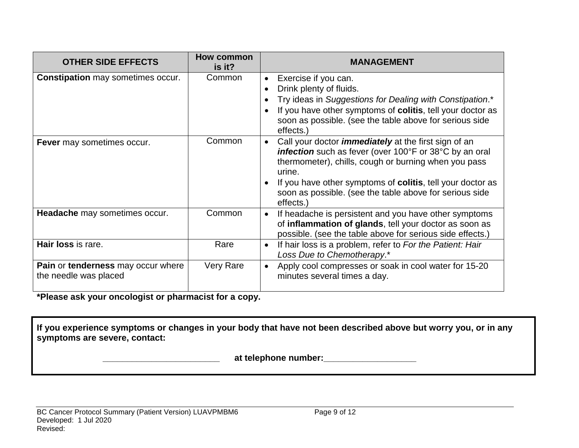| <b>OTHER SIDE EFFECTS</b>                                          | How common<br>is it? | <b>MANAGEMENT</b>                                                                                                                                                                                                                                                                                                                    |  |  |
|--------------------------------------------------------------------|----------------------|--------------------------------------------------------------------------------------------------------------------------------------------------------------------------------------------------------------------------------------------------------------------------------------------------------------------------------------|--|--|
| <b>Constipation</b> may sometimes occur.                           | Common               | Exercise if you can.<br>$\bullet$<br>Drink plenty of fluids.<br>Try ideas in Suggestions for Dealing with Constipation.*<br>If you have other symptoms of colitis, tell your doctor as<br>soon as possible. (see the table above for serious side<br>effects.)                                                                       |  |  |
| Fever may sometimes occur.                                         | Common               | Call your doctor <i>immediately</i> at the first sign of an<br><b>infection</b> such as fever (over 100°F or 38°C by an oral<br>thermometer), chills, cough or burning when you pass<br>urine.<br>If you have other symptoms of colitis, tell your doctor as<br>soon as possible. (see the table above for serious side<br>effects.) |  |  |
| Headache may sometimes occur.                                      | Common               | If headache is persistent and you have other symptoms<br>of inflammation of glands, tell your doctor as soon as<br>possible. (see the table above for serious side effects.)                                                                                                                                                         |  |  |
| Hair loss is rare.                                                 | Rare                 | If hair loss is a problem, refer to For the Patient: Hair<br>$\bullet$<br>Loss Due to Chemotherapy.*                                                                                                                                                                                                                                 |  |  |
| <b>Pain or tenderness may occur where</b><br>the needle was placed | <b>Very Rare</b>     | Apply cool compresses or soak in cool water for 15-20<br>minutes several times a day.                                                                                                                                                                                                                                                |  |  |

**\*Please ask your oncologist or pharmacist for a copy.**

**If you experience symptoms or changes in your body that have not been described above but worry you, or in any symptoms are severe, contact:**

 **\_\_\_\_\_\_\_\_\_\_\_\_\_\_\_\_\_\_\_\_\_\_\_\_ at telephone number:\_\_\_\_\_\_\_\_\_\_\_\_\_\_\_\_\_\_\_**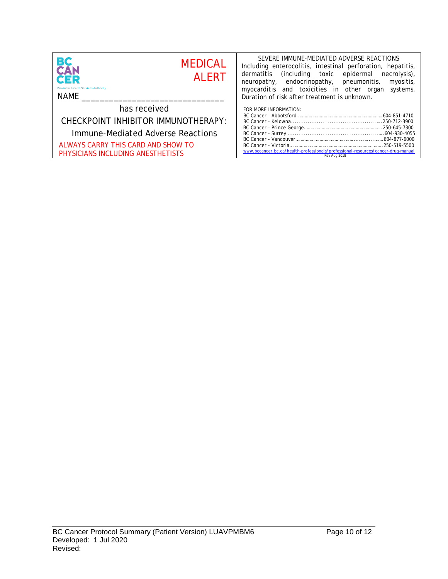| <b>BC</b><br>CAN<br><b>MEDICAL</b><br><b>AI FRT</b><br><b>CER</b><br><b>Provincial Health Services Authority</b><br>NAME | SEVERE IMMUNE-MEDIATED ADVERSE REACTIONS<br>Including enterocolitis, intestinal perforation, hepatitis,<br>(including toxic epidermal<br>dermatitis<br>necrolysis),<br>neuropathy, endocrinopathy, pneumonitis,<br>myositis,<br>myocarditis and toxicities in other organ<br>systems.<br>Duration of risk after treatment is unknown. |  |
|--------------------------------------------------------------------------------------------------------------------------|---------------------------------------------------------------------------------------------------------------------------------------------------------------------------------------------------------------------------------------------------------------------------------------------------------------------------------------|--|
| has received                                                                                                             | FOR MORE INFORMATION:                                                                                                                                                                                                                                                                                                                 |  |
| CHECKPOINT INHIBITOR IMMUNOTHERAPY:                                                                                      |                                                                                                                                                                                                                                                                                                                                       |  |
| Immune-Mediated Adverse Reactions                                                                                        |                                                                                                                                                                                                                                                                                                                                       |  |
| ALWAYS CARRY THIS CARD AND SHOW TO                                                                                       |                                                                                                                                                                                                                                                                                                                                       |  |
| PHYSICIANS INCLUDING ANESTHETISTS                                                                                        | www.bccancer.bc.ca/health-professionals/professional-resources/cancer-drug-manual<br>Rev Aug 2018                                                                                                                                                                                                                                     |  |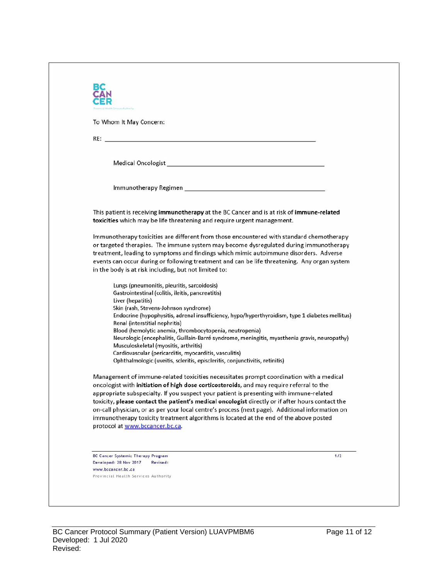| To Whom It May Concern:                                                                                                                                                                                                                                                                                                                                                                                                                        |                                                                                                                                                                                                                                                                                                                                                                                                                                                                                                                                                                                |
|------------------------------------------------------------------------------------------------------------------------------------------------------------------------------------------------------------------------------------------------------------------------------------------------------------------------------------------------------------------------------------------------------------------------------------------------|--------------------------------------------------------------------------------------------------------------------------------------------------------------------------------------------------------------------------------------------------------------------------------------------------------------------------------------------------------------------------------------------------------------------------------------------------------------------------------------------------------------------------------------------------------------------------------|
| RE: <u>Contract of the contract of the contract of the contract of the contract of the contract of</u>                                                                                                                                                                                                                                                                                                                                         |                                                                                                                                                                                                                                                                                                                                                                                                                                                                                                                                                                                |
|                                                                                                                                                                                                                                                                                                                                                                                                                                                |                                                                                                                                                                                                                                                                                                                                                                                                                                                                                                                                                                                |
|                                                                                                                                                                                                                                                                                                                                                                                                                                                |                                                                                                                                                                                                                                                                                                                                                                                                                                                                                                                                                                                |
|                                                                                                                                                                                                                                                                                                                                                                                                                                                |                                                                                                                                                                                                                                                                                                                                                                                                                                                                                                                                                                                |
| toxicities which may be life threatening and require urgent management.                                                                                                                                                                                                                                                                                                                                                                        | This patient is receiving immunotherapy at the BC Cancer and is at risk of immune-related                                                                                                                                                                                                                                                                                                                                                                                                                                                                                      |
| in the body is at risk including, but not limited to:                                                                                                                                                                                                                                                                                                                                                                                          | Immunotherapy toxicities are different from those encountered with standard chemotherapy<br>or targeted therapies. The immune system may become dysregulated during immunotherapy<br>treatment, leading to symptoms and findings which mimic autoimmune disorders. Adverse<br>events can occur during or following treatment and can be life threatening. Any organ system                                                                                                                                                                                                     |
| Lungs (pneumonitis, pleuritis, sarcoidosis)<br>Gastrointestinal (colitis, ileitis, pancreatitis)<br>Liver (hepatitis)<br>Skin (rash, Stevens-Johnson syndrome)<br>Renal (interstitial nephritis)<br>Blood (hemolytic anemia, thrombocytopenia, neutropenia)<br>Musculoskeletal (myositis, arthritis)<br>Cardiovascular (pericarditis, myocarditis, vasculitis)<br>Ophthalmologic (uveitis, scleritis, episcleritis, conjunctivitis, retinitis) | Endocrine (hypophysitis, adrenal insufficiency, hypo/hyperthyroidism, type 1 diabetes mellitus)<br>Neurologic (encephalitis, Guillain-Barré syndrome, meningitis, myasthenia gravis, neuropathy)                                                                                                                                                                                                                                                                                                                                                                               |
| protocol at www.bccancer.bc.ca.                                                                                                                                                                                                                                                                                                                                                                                                                | Management of immune-related toxicities necessitates prompt coordination with a medical<br>oncologist with initiation of high dose corticosteroids, and may require referral to the<br>appropriate subspecialty. If you suspect your patient is presenting with immune-related<br>toxicity, please contact the patient's medical oncologist directly or if after hours contact the<br>on-call physician, or as per your local centre's process (next page). Additional information on<br>immunotherapy toxicity treatment algorithms is located at the end of the above posted |
| <b>BC Cancer Systemic Therapy Program</b>                                                                                                                                                                                                                                                                                                                                                                                                      | 1/2                                                                                                                                                                                                                                                                                                                                                                                                                                                                                                                                                                            |